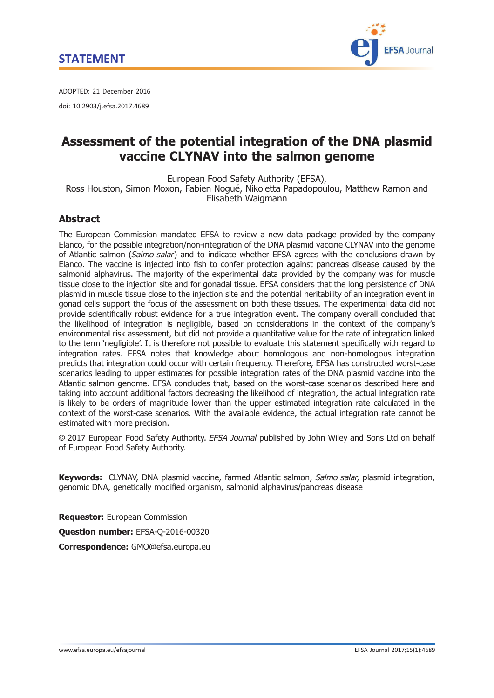

ADOPTED: 21 December 2016 doi: 10.2903/j.efsa.2017.4689

## Assessment of the potential integration of the DNA plasmid vaccine CLYNAV into the salmon genome

European Food Safety Authority (EFSA), Ross Houston, Simon Moxon, Fabien Nogué, Nikoletta Papadopoulou, Matthew Ramon and Elisabeth Waigmann

## **Abstract**

The European Commission mandated EFSA to review a new data package provided by the company Elanco, for the possible integration/non-integration of the DNA plasmid vaccine CLYNAV into the genome of Atlantic salmon (Salmo salar) and to indicate whether EFSA agrees with the conclusions drawn by Elanco. The vaccine is injected into fish to confer protection against pancreas disease caused by the salmonid alphavirus. The majority of the experimental data provided by the company was for muscle tissue close to the injection site and for gonadal tissue. EFSA considers that the long persistence of DNA plasmid in muscle tissue close to the injection site and the potential heritability of an integration event in gonad cells support the focus of the assessment on both these tissues. The experimental data did not provide scientifically robust evidence for a true integration event. The company overall concluded that the likelihood of integration is negligible, based on considerations in the context of the company's environmental risk assessment, but did not provide a quantitative value for the rate of integration linked to the term 'negligible'. It is therefore not possible to evaluate this statement specifically with regard to integration rates. EFSA notes that knowledge about homologous and non-homologous integration predicts that integration could occur with certain frequency. Therefore, EFSA has constructed worst-case scenarios leading to upper estimates for possible integration rates of the DNA plasmid vaccine into the Atlantic salmon genome. EFSA concludes that, based on the worst-case scenarios described here and taking into account additional factors decreasing the likelihood of integration, the actual integration rate is likely to be orders of magnitude lower than the upper estimated integration rate calculated in the context of the worst-case scenarios. With the available evidence, the actual integration rate cannot be estimated with more precision.

© 2017 European Food Safety Authority. EFSA Journal published by John Wiley and Sons Ltd on behalf of European Food Safety Authority.

Kevwords: CLYNAV, DNA plasmid vaccine, farmed Atlantic salmon, Salmo salar, plasmid integration, genomic DNA, genetically modified organism, salmonid alphavirus/pancreas disease

Requestor: European Commission Question number: EFSA-Q-2016-00320 Correspondence: GMO@efsa.europa.eu